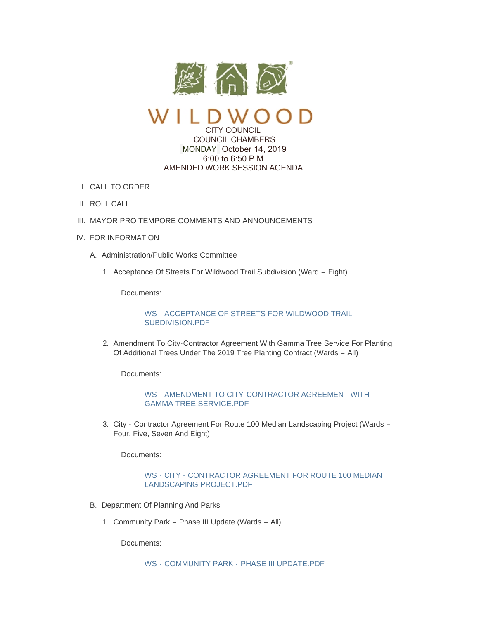

CITY COUNCIL COUNCIL CHAMBERS

MONDAY, October 14, 2019 6:00 to 6:50 P.M. AMENDED WORK SESSION AGENDA

- CALL TO ORDER I.
- II. ROLL CALL
- III. MAYOR PRO TEMPORE COMMENTS AND ANNOUNCEMENTS
- IV. FOR INFORMATION
	- A. Administration/Public Works Committee
		- 1. Acceptance Of Streets For Wildwood Trail Subdivision (Ward Eight)

Documents:

WS - [ACCEPTANCE OF STREETS FOR WILDWOOD TRAIL](https://www.cityofwildwood.com/AgendaCenter/ViewFile/Item/22378?fileID=27816)  SUBDIVISION.PDF

2. Amendment To City-Contractor Agreement With Gamma Tree Service For Planting Of Additional Trees Under The 2019 Tree Planting Contract (Wards – All)

Documents:

WS - [AMENDMENT TO CITY-CONTRACTOR AGREEMENT WITH](https://www.cityofwildwood.com/AgendaCenter/ViewFile/Item/22379?fileID=27817)  GAMMA TREE SERVICE.PDF

3. City - Contractor Agreement For Route 100 Median Landscaping Project (Wards -Four, Five, Seven And Eight)

Documents:

## WS - CITY - [CONTRACTOR AGREEMENT FOR ROUTE 100 MEDIAN](https://www.cityofwildwood.com/AgendaCenter/ViewFile/Item/22380?fileID=27818)  LANDSCAPING PROJECT.PDF

- B. Department Of Planning And Parks
	- 1. Community Park Phase III Update (Wards All)

Documents:

WS - COMMUNITY PARK - [PHASE III UPDATE.PDF](https://www.cityofwildwood.com/AgendaCenter/ViewFile/Item/22394?fileID=27830)